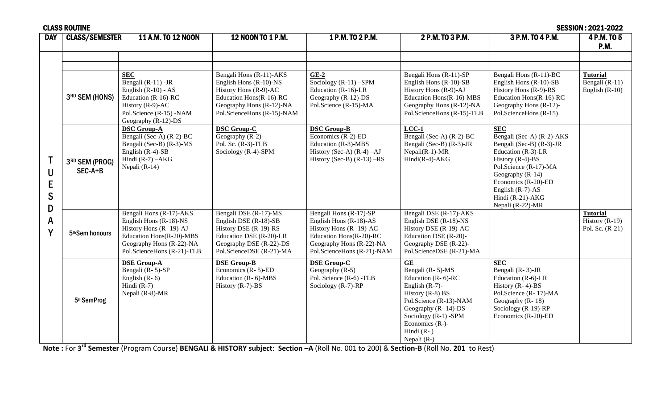| <b>DAY</b>                            | <b>CLASS/SEMESTER</b>       | 11 A.M. TO 12 NOON                                                                                                                                                | 12 NOON TO 1 P.M.                                                                                                                                               | 1 P.M. TO 2 P.M.                                                                                                                                                  | 2 P.M. TO 3 P.M.                                                                                                                                                                                                                           | 3 P.M. TO 4 P.M.                                                                                                                                                                                                                                    | 4 P.M. TO 5<br>P.M.                                      |
|---------------------------------------|-----------------------------|-------------------------------------------------------------------------------------------------------------------------------------------------------------------|-----------------------------------------------------------------------------------------------------------------------------------------------------------------|-------------------------------------------------------------------------------------------------------------------------------------------------------------------|--------------------------------------------------------------------------------------------------------------------------------------------------------------------------------------------------------------------------------------------|-----------------------------------------------------------------------------------------------------------------------------------------------------------------------------------------------------------------------------------------------------|----------------------------------------------------------|
| $\mathsf{U}$<br>E<br>S<br>D<br>A<br>γ | 3RD SEM (HONS)              | <b>SEC</b><br>Bengali (R-11) -JR<br>English $(R-10) - AS$<br>Education $(R-16)$ -RC<br>History (R-9)-AC<br>Pol.Science (R-15) -NAM                                | Bengali Hons (R-11)-AKS<br>English Hons (R-10)-NS<br>History Hons (R-9)-AC<br>Education Hons(R-16)-RC<br>Geography Hons (R-12)-NA<br>Pol.ScienceHons (R-15)-NAM | $GE-2$<br>Sociology $(R-11)$ -SPM<br>Education $(R-16)$ -LR<br>Geography (R-12)-DS<br>Pol.Science (R-15)-MA                                                       | Bengali Hons (R-11)-SP<br>English Hons (R-10)-SB<br>History Hons (R-9)-AJ<br>Education Hons(R-16)-MBS<br>Geography Hons (R-12)-NA<br>Pol.ScienceHons (R-15)-TLB                                                                            | Bengali Hons (R-11)-BC<br>English Hons (R-10)-SB<br>History Hons (R-9)-RS<br>Education Hons(R-16)-RC<br>Geography Hons (R-12)-<br>Pol.ScienceHons (R-15)                                                                                            | <b>Tutorial</b><br>Bengali (R-11)<br>English $(R-10)$    |
|                                       | 3RD SEM (PROG)<br>$SEC-A+B$ | Geography (R-12)-DS<br><b>DSC Group-A</b><br>Bengali (Sec-A) (R-2)-BC<br>Bengali (Sec-B) (R-3)-MS<br>English $(R-4)$ -SB<br>Hindi $(R-7) - AKG$<br>Nepali (R-14)  | <b>DSC Group-C</b><br>Geography $(R-2)$ -<br>Pol. Sc. $(R-3)$ -TLB<br>Sociology (R-4)-SPM                                                                       | <b>DSC Group-B</b><br>Economics (R-2)-ED<br>Education (R-3)-MBS<br>History (Sec-A) $(R-4)$ -AJ<br>History (Sec-B) $(R-13)$ -RS                                    | $LCC-1$<br>Bengali (Sec-A) (R-2)-BC<br>Bengali (Sec-B) (R-3)-JR<br>$Nepali(R-1)-MR$<br>$Hindi(R-4) - AKG$                                                                                                                                  | <b>SEC</b><br>Bengali (Sec-A) (R-2)-AKS<br>Bengali (Sec-B) (R-3)-JR<br>Education (R-3)-LR<br>History $(R-4)$ -BS<br>Pol.Science (R-17)-MA<br>Geography (R-14)<br>Economics (R-20)-ED<br>English $(R-7)$ -AS<br>Hindi (R-21)-AKG<br>Nepali (R-22)-MR |                                                          |
|                                       | 5 <sup>th</sup> Sem honours | Bengali Hons (R-17)-AKS<br>English Hons (R-18)-NS<br>History Hons (R-19)-AJ<br>Education Hons(R-20)-MBS<br>Geography Hons (R-22)-NA<br>Pol.ScienceHons (R-21)-TLB | Bengali DSE (R-17)-MS<br>English DSE (R-18)-SB<br>History DSE (R-19)-RS<br>Education DSE (R-20)-LR<br>Geography DSE (R-22)-DS<br>Pol.ScienceDSE (R-21)-MA       | Bengali Hons (R-17)-SP<br>English Hons $(R-18)-AS$<br>History Hons (R-19)-AC<br>Education Hons(R-20)-RC<br>Geography Hons (R-22)-NA<br>Pol.ScienceHons (R-21)-NAM | Bengali DSE (R-17)-AKS<br>English DSE (R-18)-NS<br>History DSE (R-19)-AC<br>Education DSE (R-20)-<br>Geography DSE (R-22)-<br>Pol.ScienceDSE (R-21)-MA                                                                                     |                                                                                                                                                                                                                                                     | <b>Tutorial</b><br>History $(R-19)$<br>Pol. Sc. $(R-21)$ |
|                                       | 5thSemProg                  | <b>DSE Group-A</b><br>Bengali (R-5)-SP<br>English $(R-6)$<br>Hindi $(R-7)$<br>Nepali (R-8)-MR                                                                     | <b>DSE Group-B</b><br>Economics $(R - 5)$ -ED<br>Education (R-6)-MBS<br>History (R-7)-BS                                                                        | <b>DSE Group-C</b><br>Geography $(R-5)$<br>Pol. Science (R-6) -TLB<br>Sociology (R-7)-RP                                                                          | <b>GE</b><br>Bengali (R-5)-MS<br>Education ( $R - 6$ )- $RC$<br>English $(R-7)$ -<br>History $(R-8)$ BS<br>Pol.Science (R-13)-NAM<br>Geography $(R-14)-DS$<br>Sociology (R-1) -SPM<br>Economics $(R-)$ -<br>Hindi $(R- )$<br>Nepali $(R-)$ | <b>SEC</b><br>Bengali (R-3)-JR<br>Education (R-6)-LR<br>History $(R-4)-BS$<br>Pol.Science (R-17)-MA<br>Geography (R-18)<br>Sociology (R-19)-RP<br>Economics (R-20)-ED                                                                               |                                                          |

**Note :** For **3 rd Semester** (Program Course) **BENGALI & HISTORY subject**: **Section –A** (Roll No. 001 to 200) & **Section-B** (Roll No. **201** to Rest)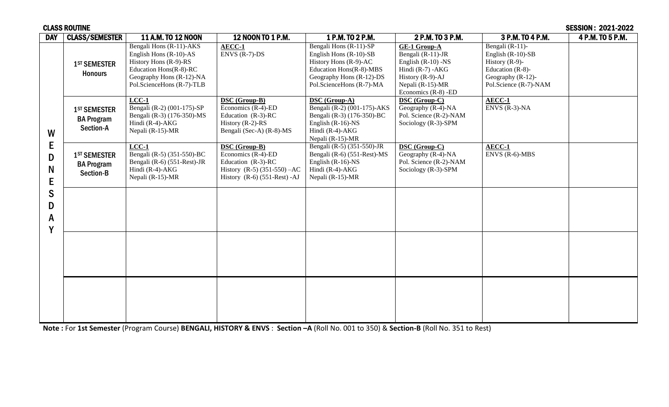|                                      | <b>CLASS ROUTINE</b><br><b>SESSION: 2021-2022</b>          |                                                                                                                                                                 |                                                                                                                                          |                                                                                                                                                              |                                                                                                                                                         |                                                                                                                                      |                  |
|--------------------------------------|------------------------------------------------------------|-----------------------------------------------------------------------------------------------------------------------------------------------------------------|------------------------------------------------------------------------------------------------------------------------------------------|--------------------------------------------------------------------------------------------------------------------------------------------------------------|---------------------------------------------------------------------------------------------------------------------------------------------------------|--------------------------------------------------------------------------------------------------------------------------------------|------------------|
| <b>DAY</b>                           | <b>CLASS/SEMESTER</b>                                      | <b>11 A.M. TO 12 NOON</b>                                                                                                                                       | 12 NOON TO 1 P.M.                                                                                                                        | 1 P.M. TO 2 P.M.                                                                                                                                             | 2 P.M. TO 3 P.M.                                                                                                                                        | 3 P.M. TO 4 P.M.                                                                                                                     | 4 P.M. TO 5 P.M. |
| W<br>E<br>D<br>N<br>E<br>S<br>D<br>A | 1 <sup>ST</sup> SEMESTER<br><b>Honours</b>                 | Bengali Hons (R-11)-AKS<br>English Hons $(R-10)-AS$<br>History Hons (R-9)-RS<br>Education Hons(R-8)-RC<br>Geography Hons (R-12)-NA<br>Pol.ScienceHons (R-7)-TLB | AECC-1<br>$\overline{\text{ENVS}}$ (R-7)-DS                                                                                              | Bengali Hons (R-11)-SP<br>English Hons (R-10)-SB<br>History Hons (R-9)-AC<br>Education Hons(R-8)-MBS<br>Geography Hons (R-12)-DS<br>Pol.ScienceHons (R-7)-MA | <b>GE-1 Group-A</b><br>Bengali (R-11)-JR<br>English $(R-10)$ -NS<br>Hindi $(R-7)$ -AKG<br>History (R-9)-AJ<br>Nepali (R-15)-MR<br>Economics $(R-8)$ -ED | Bengali $(R-11)$ -<br>English $(R-10)$ -SB<br>History $(R-9)$ -<br>Education $(R-8)$ -<br>Geography (R-12)-<br>Pol.Science (R-7)-NAM |                  |
|                                      | 1 <sup>ST</sup> SEMESTER<br><b>BA Program</b><br>Section-A | $LCC-1$<br>Bengali (R-2) (001-175)-SP<br>Bengali (R-3) (176-350)-MS<br>Hindi (R-4)-AKG<br>Nepali (R-15)-MR                                                      | DSC (Group-B)<br>Economics (R-4)-ED<br>Education $(R-3)$ -RC<br>History $(R-2)$ -RS<br>Bengali (Sec-A) (R-8)-MS                          | <b>DSC</b> (Group-A)<br>Bengali (R-2) (001-175)-AKS<br>Bengali (R-3) (176-350)-BC<br>English $(R-16)$ -NS<br>Hindi $(R-4)$ -AKG<br>Nepali (R-15)-MR          | <b>DSC</b> (Group-C)<br>Geography (R-4)-NA<br>Pol. Science (R-2)-NAM<br>Sociology (R-3)-SPM                                                             | AECC-1<br>$ENVS$ (R-3)-NA                                                                                                            |                  |
|                                      | 1 <sup>ST</sup> SEMESTER<br><b>BA Program</b><br>Section-B | $LCC-1$<br>Bengali (R-5) (351-550)-BC<br>Bengali (R-6) (551-Rest)-JR<br>Hindi $(R-4)$ -AKG<br>Nepali (R-15)-MR                                                  | <b>DSC</b> (Group-B)<br>Economics (R-4)-ED<br>Education $(R-3)$ -RC<br>History $(R-5)$ (351-550) $-AC$<br>History $(R-6)$ (551-Rest) -AJ | Bengali (R-5) (351-550)-JR<br>Bengali (R-6) (551-Rest)-MS<br>English $(R-16)$ -NS<br>Hindi $(R-4)$ -AKG<br>Nepali (R-15)-MR                                  | <b>DSC</b> (Group-C)<br>Geography (R-4)-NA<br>Pol. Science (R-2)-NAM<br>Sociology (R-3)-SPM                                                             | AECC-1<br>$ENVS$ (R-6)-MBS                                                                                                           |                  |
|                                      |                                                            |                                                                                                                                                                 |                                                                                                                                          |                                                                                                                                                              |                                                                                                                                                         |                                                                                                                                      |                  |
|                                      |                                                            |                                                                                                                                                                 |                                                                                                                                          |                                                                                                                                                              |                                                                                                                                                         |                                                                                                                                      |                  |
|                                      |                                                            |                                                                                                                                                                 |                                                                                                                                          |                                                                                                                                                              |                                                                                                                                                         |                                                                                                                                      |                  |

**Note :** For **1st Semester** (Program Course) **BENGALI, HISTORY & ENVS** : **Section –A** (Roll No. 001 to 350) & **Section-B** (Roll No. 351 to Rest)